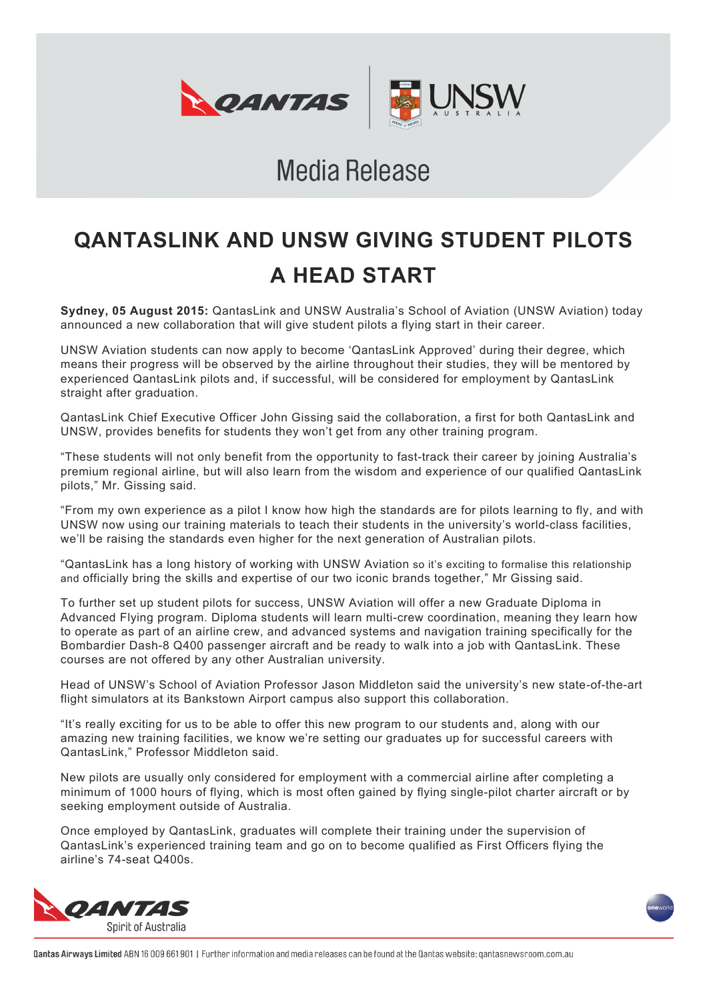

# **Media Release**

# **QANTASLINK AND UNSW GIVING STUDENT PILOTS A HEAD START**

**Sydney, 05 August 2015:** QantasLink and UNSW Australia's School of Aviation (UNSW Aviation) today announced a new collaboration that will give student pilots a flying start in their career.

UNSW Aviation students can now apply to become 'QantasLink Approved' during their degree, which means their progress will be observed by the airline throughout their studies, they will be mentored by experienced QantasLink pilots and, if successful, will be considered for employment by QantasLink straight after graduation.

QantasLink Chief Executive Officer John Gissing said the collaboration, a first for both QantasLink and UNSW, provides benefits for students they won't get from any other training program.

"These students will not only benefit from the opportunity to fast-track their career by joining Australia's premium regional airline, but will also learn from the wisdom and experience of our qualified QantasLink pilots," Mr. Gissing said.

"From my own experience as a pilot I know how high the standards are for pilots learning to fly, and with UNSW now using our training materials to teach their students in the university's world-class facilities, we'll be raising the standards even higher for the next generation of Australian pilots.

"QantasLink has a long history of working with UNSW Aviation so it's exciting to formalise this relationship and officially bring the skills and expertise of our two iconic brands together," Mr Gissing said.

To further set up student pilots for success, UNSW Aviation will offer a new Graduate Diploma in Advanced Flying program. Diploma students will learn multi-crew coordination, meaning they learn how to operate as part of an airline crew, and advanced systems and navigation training specifically for the Bombardier Dash-8 Q400 passenger aircraft and be ready to walk into a job with QantasLink. These courses are not offered by any other Australian university.

Head of UNSW's School of Aviation Professor Jason Middleton said the university's new state-of-the-art flight simulators at its Bankstown Airport campus also support this collaboration.

"It's really exciting for us to be able to offer this new program to our students and, along with our amazing new training facilities, we know we're setting our graduates up for successful careers with QantasLink," Professor Middleton said.

New pilots are usually only considered for employment with a commercial airline after completing a minimum of 1000 hours of flying, which is most often gained by flying single-pilot charter aircraft or by seeking employment outside of Australia.

Once employed by QantasLink, graduates will complete their training under the supervision of QantasLink's experienced training team and go on to become qualified as First Officers flying the airline's 74-seat Q400s.